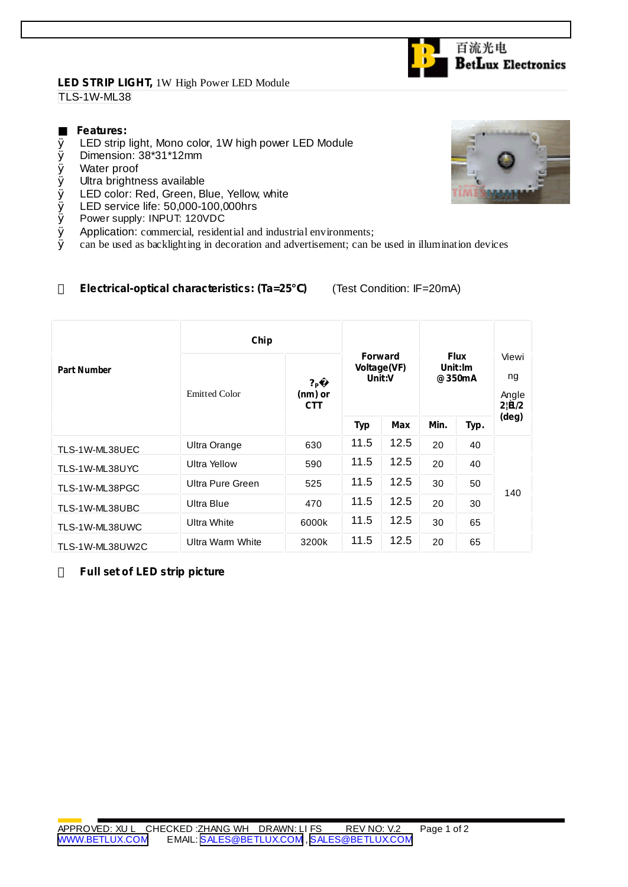## **LED STRIP LIGHT,** 1W High Power LED Module TLS-1W-ML38

## **Features:**

- Ø LED strip light, Mono color, 1W high power LED Module
- Ø Dimension: 38\*31\*12mm
- Ø Water proof
- Ø Ultra brightness available
- Ø LED color: Red, Green, Blue, Yellow, white
- Ø LED service life: 50,000-100,000hrs<br>Ø Power supply: INPUT: 120VDC
- Power supply: INPUT: 120VDC
- $\emptyset$  Application: commercial, residential and industrial environments;<br> $\emptyset$  can be used as backlighting in decoration and advertisement: can b
- Ø can be used as backlighting in decoration and advertisement; can be used in illumination devices

## **Electrical-optical characteristics: (Ta=25 )** (Test Condition: IF=20mA)

|                    | Chip                 |                                           |                                         |      |                                  |      |                               |
|--------------------|----------------------|-------------------------------------------|-----------------------------------------|------|----------------------------------|------|-------------------------------|
| <b>Part Number</b> | <b>Emitted Color</b> | $?_{\mathsf{P}}$<br>(nm) or<br><b>CTT</b> | <b>Forward</b><br>Voltage(VF)<br>Unit:V |      | <b>Flux</b><br>Unit:Im<br>@350mA |      | Viewi<br>ng<br>Angle<br>2!B/2 |
|                    |                      |                                           | Typ                                     | Max  | Min.                             | Typ. | (deg)                         |
| TLS-1W-ML38UEC     | Ultra Orange         | 630                                       | 11.5                                    | 12.5 | 20                               | 40   | 140                           |
| TLS-1W-ML38UYC     | <b>Ultra Yellow</b>  | 590                                       | 11.5                                    | 12.5 | 20                               | 40   |                               |
| TLS-1W-ML38PGC     | Ultra Pure Green     | 525                                       | 11.5                                    | 12.5 | 30                               | 50   |                               |
| TLS-1W-ML38UBC     | Ultra Blue           | 470                                       | 11.5                                    | 12.5 | 20                               | 30   |                               |
| TLS-1W-ML38UWC     | Ultra White          | 6000k                                     | 11.5                                    | 12.5 | 30                               | 65   |                               |
| TLS-1W-ML38UW2C    | Ultra Warm White     | 3200k                                     | 11.5                                    | 12.5 | 20                               | 65   |                               |

**Full set of LED strip picture**